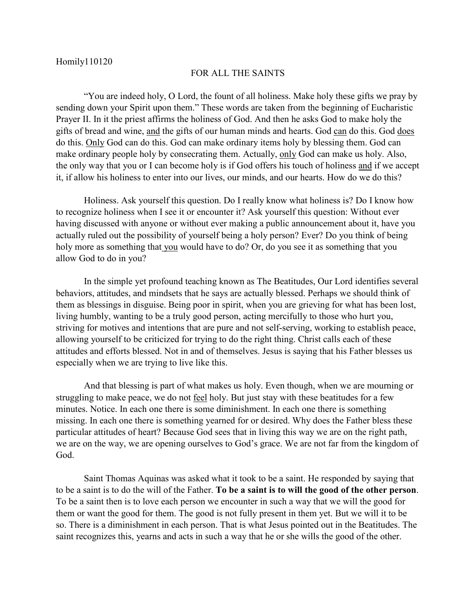## FOR ALL THE SAINTS

"You are indeed holy, O Lord, the fount of all holiness. Make holy these gifts we pray by sending down your Spirit upon them." These words are taken from the beginning of Eucharistic Prayer II. In it the priest affirms the holiness of God. And then he asks God to make holy the gifts of bread and wine, and the gifts of our human minds and hearts. God can do this. God does do this. Only God can do this. God can make ordinary items holy by blessing them. God can make ordinary people holy by consecrating them. Actually, only God can make us holy. Also, the only way that you or I can become holy is if God offers his touch of holiness and if we accept it, if allow his holiness to enter into our lives, our minds, and our hearts. How do we do this?

Holiness. Ask yourself this question. Do I really know what holiness is? Do I know how to recognize holiness when I see it or encounter it? Ask yourself this question: Without ever having discussed with anyone or without ever making a public announcement about it, have you actually ruled out the possibility of yourself being a holy person? Ever? Do you think of being holy more as something that you would have to do? Or, do you see it as something that you allow God to do in you?

In the simple yet profound teaching known as The Beatitudes, Our Lord identifies several behaviors, attitudes, and mindsets that he says are actually blessed. Perhaps we should think of them as blessings in disguise. Being poor in spirit, when you are grieving for what has been lost, living humbly, wanting to be a truly good person, acting mercifully to those who hurt you, striving for motives and intentions that are pure and not self-serving, working to establish peace, allowing yourself to be criticized for trying to do the right thing. Christ calls each of these attitudes and efforts blessed. Not in and of themselves. Jesus is saying that his Father blesses us especially when we are trying to live like this.

And that blessing is part of what makes us holy. Even though, when we are mourning or struggling to make peace, we do not feel holy. But just stay with these beatitudes for a few minutes. Notice. In each one there is some diminishment. In each one there is something missing. In each one there is something yearned for or desired. Why does the Father bless these particular attitudes of heart? Because God sees that in living this way we are on the right path, we are on the way, we are opening ourselves to God's grace. We are not far from the kingdom of God.

Saint Thomas Aquinas was asked what it took to be a saint. He responded by saying that to be a saint is to do the will of the Father. **To be a saint is to will the good of the other person**. To be a saint then is to love each person we encounter in such a way that we will the good for them or want the good for them. The good is not fully present in them yet. But we will it to be so. There is a diminishment in each person. That is what Jesus pointed out in the Beatitudes. The saint recognizes this, yearns and acts in such a way that he or she wills the good of the other.